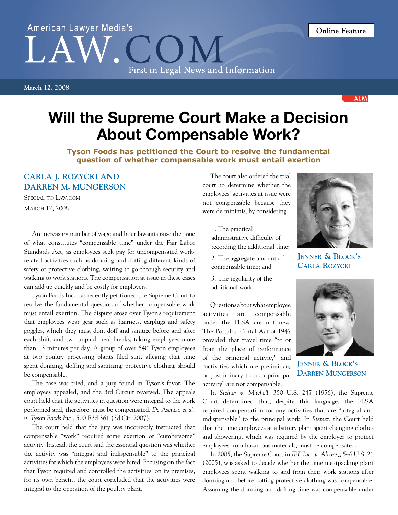## American Lawyer Media's First in Legal News and Information

**March 12, 2008**

Will the Supreme Court Make a Decision About Compensable Work?

**Tyson Foods has petitioned the Court to resolve the fundamental question of whether compensable work must entail exertion**

## **Carla J. Rozycki and Darren M. Mungerson**

Special to Law.com March 12, 2008

An increasing number of wage and hour lawsuits raise the issue of what constitutes "compensable time" under the Fair Labor Standards Act, as employees seek pay for uncompensated workrelated activities such as donning and doffing different kinds of safety or protective clothing, waiting to go through security and walking to work stations. The compensation at issue in these cases can add up quickly and be costly for employers.

Tyson Foods Inc. has recently petitioned the Supreme Court to resolve the fundamental question of whether compensable work must entail exertion. The dispute arose over Tyson's requirement that employees wear gear such as hairnets, earplugs and safety goggles, which they must don, doff and sanitize before and after each shift, and two unpaid meal breaks, taking employees more than 13 minutes per day. A group of over 540 Tyson employees at two poultry processing plants filed suit, alleging that time spent donning, doffing and sanitizing protective clothing should be compensable.

The case was tried, and a jury found in Tyson's favor. The employees appealed, and the 3rd Circuit reversed. The appeals court held that the activities in question were integral to the work performed and, therefore, must be compensated. *De Asencio et al. v. Tyson Foods Inc.*, 500 F.3d 361 (3d Cir. 2007).

The court held that the jury was incorrectly instructed that compensable "work" required some exertion or "cumbersome" activity. Instead, the court said the essential question was whether the activity was "integral and indispensable" to the principal activities for which the employees were hired. Focusing on the fact that Tyson required and controlled the activities, on its premises, for its own benefit, the court concluded that the activities were integral to the operation of the poultry plant.

The court also ordered the trial court to determine whether the employees' activities at issue were not compensable because they were de minimis, by considering

- 1. The practical administrative difficulty of recording the additional time;
- 2. The aggregate amount of compensable time; and
- 3. The regularity of the additional work.

Questions about what employee activities are compensable under the FLSA are not new. The Portal-to-Portal Act of 1947 provided that travel time "to or from the place of performance of the principal activity" and "activities which are preliminary or postliminary to such principal activity" are not compensable.

**Jenner & Block's Carla Rozycki**



**Jenner & Block's Darren Mungerson**

In *Steiner v. Mitchell*, 350 U.S. 247 (1956), the Supreme Court determined that, despite this language, the FLSA required compensation for any activities that are "integral and indispensable" to the principal work. In *Steiner*, the Court held that the time employees at a battery plant spent changing clothes and showering, which was required by the employer to protect employees from hazardous materials, must be compensated.

In 2005, the Supreme Court in *IBP Inc. v. Alvarez*, 546 U.S. 21 (2005), was asked to decide whether the time meatpacking plant employees spent walking to and from their work stations after donning and before doffing protective clothing was compensable. Assuming the donning and doffing time was compensable under

**ALM**